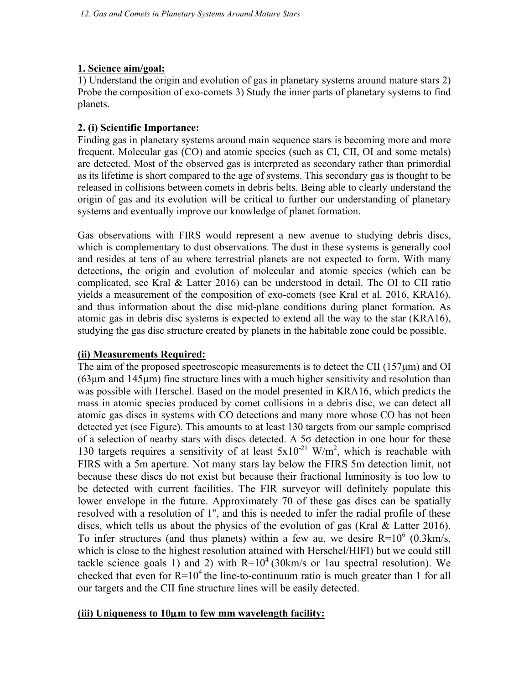#### **1. Science aim/goal:**

1) Understand the origin and evolution of gas in planetary systems around mature stars 2) Probe the composition of exo-comets 3) Study the inner parts of planetary systems to find planets.

#### **2. (i) Scientific Importance:**

Finding gas in planetary systems around main sequence stars is becoming more and more frequent. Molecular gas (CO) and atomic species (such as CI, CII, OI and some metals) are detected. Most of the observed gas is interpreted as secondary rather than primordial as its lifetime is short compared to the age of systems. This secondary gas is thought to be released in collisions between comets in debris belts. Being able to clearly understand the origin of gas and its evolution will be critical to further our understanding of planetary systems and eventually improve our knowledge of planet formation.

Gas observations with FIRS would represent a new avenue to studying debris discs, which is complementary to dust observations. The dust in these systems is generally cool and resides at tens of au where terrestrial planets are not expected to form. With many detections, the origin and evolution of molecular and atomic species (which can be complicated, see Kral & Latter 2016) can be understood in detail. The OI to CII ratio yields a measurement of the composition of exo-comets (see Kral et al. 2016, KRA16), and thus information about the disc mid-plane conditions during planet formation. As atomic gas in debris disc systems is expected to extend all the way to the star (KRA16), studying the gas disc structure created by planets in the habitable zone could be possible.

### **(ii) Measurements Required:**

The aim of the proposed spectroscopic measurements is to detect the CII (157µm) and OI (63µm and 145µm) fine structure lines with a much higher sensitivity and resolution than was possible with Herschel. Based on the model presented in KRA16, which predicts the mass in atomic species produced by comet collisions in a debris disc, we can detect all atomic gas discs in systems with CO detections and many more whose CO has not been detected yet (see Figure). This amounts to at least 130 targets from our sample comprised of a selection of nearby stars with discs detected. A 5σ detection in one hour for these 130 targets requires a sensitivity of at least  $5x10^{-21}$  W/m<sup>2</sup>, which is reachable with FIRS with a 5m aperture. Not many stars lay below the FIRS 5m detection limit, not because these discs do not exist but because their fractional luminosity is too low to be detected with current facilities. The FIR surveyor will definitely populate this lower envelope in the future. Approximately 70 of these gas discs can be spatially resolved with a resolution of 1'', and this is needed to infer the radial profile of these discs, which tells us about the physics of the evolution of gas (Kral & Latter 2016). To infer structures (and thus planets) within a few au, we desire  $R=10^6$  (0.3km/s, which is close to the highest resolution attained with Herschel/HIFI) but we could still tackle science goals 1) and 2) with  $R=10^4$  (30km/s or 1au spectral resolution). We checked that even for  $R=10^4$  the line-to-continuum ratio is much greater than 1 for all our targets and the CII fine structure lines will be easily detected.

### **(iii) Uniqueness to 10**µ**m to few mm wavelength facility:**